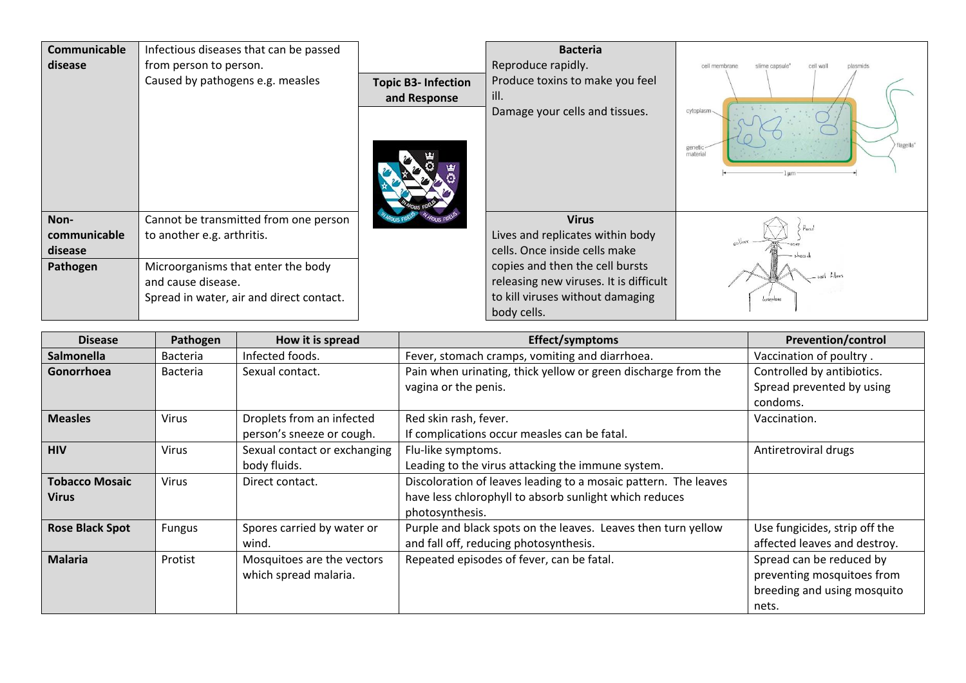| Communicable<br>disease                     | Infectious diseases that can be passed<br>from person to person.<br>Caused by pathogens e.g. measles                                                                        | <b>Topic B3-Infection</b><br>and Response | <b>Bacteria</b><br>Reproduce rapidly.<br>Produce toxins to make you feel<br>ill.<br>Damage your cells and tissues.                                                                                                | cell membrane<br>cell wall<br>slime capsule<br>plasmids<br>cytoplasm-<br>flagella*<br>genetic<br>material |
|---------------------------------------------|-----------------------------------------------------------------------------------------------------------------------------------------------------------------------------|-------------------------------------------|-------------------------------------------------------------------------------------------------------------------------------------------------------------------------------------------------------------------|-----------------------------------------------------------------------------------------------------------|
| Non-<br>communicable<br>disease<br>Pathogen | Cannot be transmitted from one person<br>to another e.g. arthritis.<br>Microorganisms that enter the body<br>and cause disease.<br>Spread in water, air and direct contact. |                                           | <b>Virus</b><br>Lives and replicates within body<br>cells. Once inside cells make<br>copies and then the cell bursts<br>releasing new viruses. It is difficult<br>to kill viruses without damaging<br>body cells. | $H_{\text{good}}$<br>baseplate                                                                            |

| <b>Disease</b>         | Pathogen        | How it is spread             | Effect/symptoms                                                 | <b>Prevention/control</b>     |
|------------------------|-----------------|------------------------------|-----------------------------------------------------------------|-------------------------------|
| <b>Salmonella</b>      | <b>Bacteria</b> | Infected foods.              | Fever, stomach cramps, vomiting and diarrhoea.                  | Vaccination of poultry.       |
| Gonorrhoea             | Bacteria        | Sexual contact.              | Pain when urinating, thick yellow or green discharge from the   | Controlled by antibiotics.    |
|                        |                 |                              | vagina or the penis.                                            | Spread prevented by using     |
|                        |                 |                              |                                                                 | condoms.                      |
| <b>Measles</b>         | Virus           | Droplets from an infected    | Red skin rash, fever.                                           | Vaccination.                  |
|                        |                 | person's sneeze or cough.    | If complications occur measles can be fatal.                    |                               |
| <b>HIV</b>             | Virus           | Sexual contact or exchanging | Flu-like symptoms.                                              | Antiretroviral drugs          |
|                        |                 | body fluids.                 | Leading to the virus attacking the immune system.               |                               |
| <b>Tobacco Mosaic</b>  | Virus           | Direct contact.              | Discoloration of leaves leading to a mosaic pattern. The leaves |                               |
| <b>Virus</b>           |                 |                              | have less chlorophyll to absorb sunlight which reduces          |                               |
|                        |                 |                              | photosynthesis.                                                 |                               |
| <b>Rose Black Spot</b> | <b>Fungus</b>   | Spores carried by water or   | Purple and black spots on the leaves. Leaves then turn yellow   | Use fungicides, strip off the |
|                        |                 | wind.                        | and fall off, reducing photosynthesis.                          | affected leaves and destroy.  |
| <b>Malaria</b>         | Protist         | Mosquitoes are the vectors   | Repeated episodes of fever, can be fatal.                       | Spread can be reduced by      |
|                        |                 | which spread malaria.        |                                                                 | preventing mosquitoes from    |
|                        |                 |                              |                                                                 | breeding and using mosquito   |
|                        |                 |                              |                                                                 | nets.                         |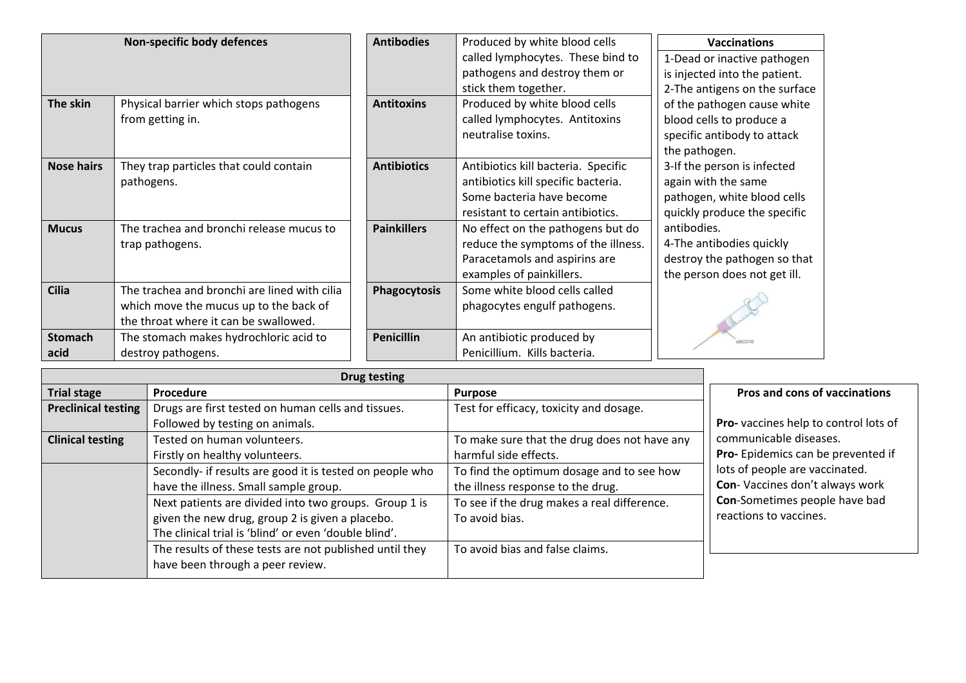| Non-specific body defences |                                                                                                                                 | <b>Antibodies</b>   | Produced by white blood cells                                                                                                                | <b>Vaccinations</b>                                                                                               |
|----------------------------|---------------------------------------------------------------------------------------------------------------------------------|---------------------|----------------------------------------------------------------------------------------------------------------------------------------------|-------------------------------------------------------------------------------------------------------------------|
|                            |                                                                                                                                 |                     | called lymphocytes. These bind to<br>pathogens and destroy them or<br>stick them together.                                                   | 1-Dead or inactive pathogen<br>is injected into the patient.<br>2-The antigens on the surface                     |
| The skin                   | Physical barrier which stops pathogens<br>from getting in.                                                                      | <b>Antitoxins</b>   | Produced by white blood cells<br>called lymphocytes. Antitoxins<br>neutralise toxins.                                                        | of the pathogen cause white<br>blood cells to produce a<br>specific antibody to attack<br>the pathogen.           |
| <b>Nose hairs</b>          | They trap particles that could contain<br>pathogens.                                                                            | <b>Antibiotics</b>  | Antibiotics kill bacteria. Specific<br>antibiotics kill specific bacteria.<br>Some bacteria have become<br>resistant to certain antibiotics. | 3-If the person is infected<br>again with the same<br>pathogen, white blood cells<br>quickly produce the specific |
| <b>Mucus</b>               | The trachea and bronchi release mucus to<br>trap pathogens.                                                                     | <b>Painkillers</b>  | No effect on the pathogens but do<br>reduce the symptoms of the illness.<br>Paracetamols and aspirins are<br>examples of painkillers.        | antibodies.<br>4-The antibodies quickly<br>destroy the pathogen so that<br>the person does not get ill.           |
| <b>Cilia</b>               | The trachea and bronchi are lined with cilia<br>which move the mucus up to the back of<br>the throat where it can be swallowed. | <b>Phagocytosis</b> | Some white blood cells called<br>phagocytes engulf pathogens.                                                                                |                                                                                                                   |
| <b>Stomach</b><br>acid     | The stomach makes hydrochloric acid to<br>destroy pathogens.                                                                    | <b>Penicillin</b>   | An antibiotic produced by<br>Penicillium. Kills bacteria.                                                                                    | vaccine                                                                                                           |

|                            | <b>Drug testing</b>                                      |                                              |                                      |
|----------------------------|----------------------------------------------------------|----------------------------------------------|--------------------------------------|
| <b>Trial stage</b>         | Procedure                                                | <b>Purpose</b>                               | <b>Pros and cons of vaccinations</b> |
| <b>Preclinical testing</b> | Drugs are first tested on human cells and tissues.       | Test for efficacy, toxicity and dosage.      |                                      |
|                            | Followed by testing on animals.                          |                                              | Pro-vaccines help to control lots of |
| <b>Clinical testing</b>    | Tested on human volunteers.                              | To make sure that the drug does not have any | communicable diseases.               |
|                            | Firstly on healthy volunteers.                           | harmful side effects.                        | Pro-Epidemics can be prevented if    |
|                            | Secondly- if results are good it is tested on people who | To find the optimum dosage and to see how    | lots of people are vaccinated.       |
|                            | have the illness. Small sample group.                    | the illness response to the drug.            | Con-Vaccines don't always work       |
|                            | Next patients are divided into two groups. Group 1 is    | To see if the drug makes a real difference.  | Con-Sometimes people have bad        |
|                            | given the new drug, group 2 is given a placebo.          | To avoid bias.                               | reactions to vaccines.               |
|                            | The clinical trial is 'blind' or even 'double blind'.    |                                              |                                      |
|                            | The results of these tests are not published until they  | To avoid bias and false claims.              |                                      |
|                            | have been through a peer review.                         |                                              |                                      |